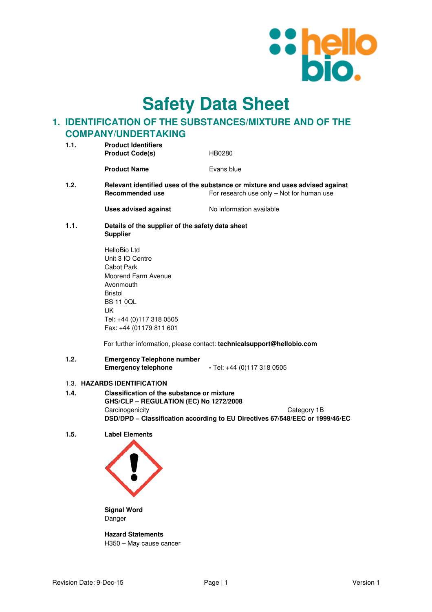

**Safety Data Sheet**

# **1. IDENTIFICATION OF THE SUBSTANCES/MIXTURE AND OF THE COMPANY/UNDERTAKING**

| 1.1. | <b>Product Identifiers</b><br><b>Product Code(s)</b>                                                                                          | HB0280     |  |
|------|-----------------------------------------------------------------------------------------------------------------------------------------------|------------|--|
|      | <b>Product Name</b>                                                                                                                           | Evans blue |  |
| 1.2. |                                                                                                                                               |            |  |
|      | Relevant identified uses of the substance or mixture and uses advised against<br>For research use only – Not for human use<br>Recommended use |            |  |

**Uses advised against No information available** 

**1.1. Details of the supplier of the safety data sheet Supplier** 

| HelloBio I td            |
|--------------------------|
| Unit 3 IO Centre         |
| Cabot Park               |
| Moorend Farm Avenue      |
| Avonmouth                |
| <b>Bristol</b>           |
| BS 11 0OL                |
| IJΚ                      |
| Tel: +44 (0)117 318 0505 |
| Fax: +44 (01179 811 601  |

For further information, please contact: **technicalsupport@hellobio.com** 

### **1.2. Emergency Telephone number Emergency telephone** - Tel: +44 (0)117 318 0505

### 1.3. **HAZARDS IDENTIFICATION**

- **1.4. Classification of the substance or mixture GHS/CLP – REGULATION (EC) No 1272/2008**  Carcinogenicity Category 1B **DSD/DPD – Classification according to EU Directives 67/548/EEC or 1999/45/EC**
- **1.5. Label Elements**



**Signal Word**  Danger

**Hazard Statements**  H350 – May cause cancer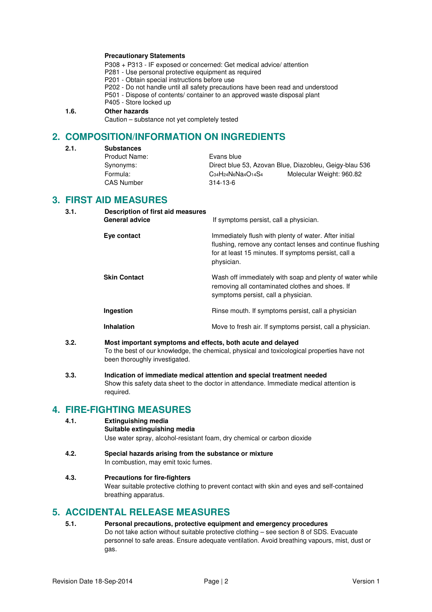### **Precautionary Statements**

- P308 + P313 IF exposed or concerned: Get medical advice/ attention
- P281 Use personal protective equipment as required
- P201 Obtain special instructions before use
- P202 Do not handle until all safety precautions have been read and understood
- P501 Dispose of contents/ container to an approved waste disposal plant

### P405 - Store locked up

### **1.6. Other hazards**

Caution – substance not yet completely tested

# **2. COMPOSITION/INFORMATION ON INGREDIENTS**

- **2.1. Substances** 
	- Product Name: Evans blue Synonyms: Direct blue 53, Azovan Blue, Diazobleu, Geigy-blau 536 Formula: C34H24N6Na4O14S4 Molecular Weight: 960.82 CAS Number 314-13-6

## **3. FIRST AID MEASURES**

- **3.1. Description of first aid measures**  If symptoms persist, call a physician. **Eye contact Immediately flush with plenty of water. After initial** flushing, remove any contact lenses and continue flushing for at least 15 minutes. If symptoms persist, call a physician. **Skin Contact** Wash off immediately with soap and plenty of water while removing all contaminated clothes and shoes. If symptoms persist, call a physician. **Ingestion Rinse mouth.** If symptoms persist, call a physician **numerical Inhalation Inhalation Move to fresh air. If symptoms persist, call a physician.**
- **3.2. Most important symptoms and effects, both acute and delayed**  To the best of our knowledge, the chemical, physical and toxicological properties have not been thoroughly investigated.
- **3.3. Indication of immediate medical attention and special treatment needed**  Show this safety data sheet to the doctor in attendance. Immediate medical attention is required.

## **4. FIRE-FIGHTING MEASURES**

### **4.1. Extinguishing media**

- **Suitable extinguishing media** Use water spray, alcohol-resistant foam, dry chemical or carbon dioxide
- **4.2. Special hazards arising from the substance or mixture**  In combustion, may emit toxic fumes.

### **4.3. Precautions for fire-fighters**

Wear suitable protective clothing to prevent contact with skin and eyes and self-contained breathing apparatus.

## **5. ACCIDENTAL RELEASE MEASURES**

**5.1. Personal precautions, protective equipment and emergency procedures**  Do not take action without suitable protective clothing – see section 8 of SDS. Evacuate personnel to safe areas. Ensure adequate ventilation. Avoid breathing vapours, mist, dust or gas.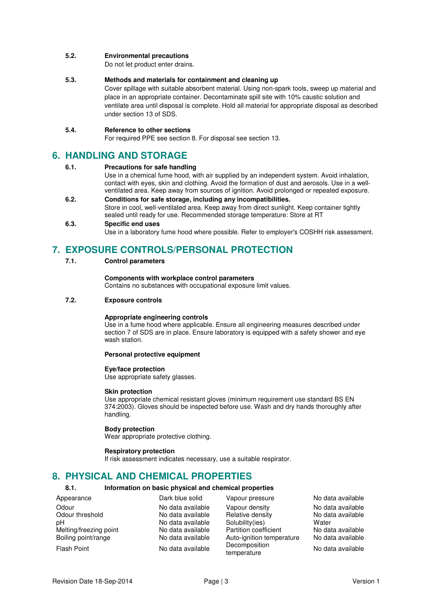### **5.2. Environmental precautions**

Do not let product enter drains.

### **5.3. Methods and materials for containment and cleaning up**

Cover spillage with suitable absorbent material. Using non-spark tools, sweep up material and place in an appropriate container. Decontaminate spill site with 10% caustic solution and ventilate area until disposal is complete. Hold all material for appropriate disposal as described under section 13 of SDS.

### **5.4. Reference to other sections**

For required PPE see section 8. For disposal see section 13.

## **6. HANDLING AND STORAGE**

### **6.1. Precautions for safe handling**

Use in a chemical fume hood, with air supplied by an independent system. Avoid inhalation, contact with eyes, skin and clothing. Avoid the formation of dust and aerosols. Use in a wellventilated area. Keep away from sources of ignition. Avoid prolonged or repeated exposure.

**6.2. Conditions for safe storage, including any incompatibilities.**  Store in cool, well-ventilated area. Keep away from direct sunlight. Keep container tightly sealed until ready for use. Recommended storage temperature: Store at RT

#### **6.3. Specific end uses**

Use in a laboratory fume hood where possible. Refer to employer's COSHH risk assessment.

# **7. EXPOSURE CONTROLS/PERSONAL PROTECTION**

**7.1. Control parameters** 

### **Components with workplace control parameters**

Contains no substances with occupational exposure limit values.

### **7.2. Exposure controls**

### **Appropriate engineering controls**

Use in a fume hood where applicable. Ensure all engineering measures described under section 7 of SDS are in place. Ensure laboratory is equipped with a safety shower and eye wash station.

#### **Personal protective equipment**

### **Eye/face protection**

Use appropriate safety glasses.

#### **Skin protection**

Use appropriate chemical resistant gloves (minimum requirement use standard BS EN 374:2003). Gloves should be inspected before use. Wash and dry hands thoroughly after handling.

#### **Body protection**

Wear appropriate protective clothing.

#### **Respiratory protection**

If risk assessment indicates necessary, use a suitable respirator.

# **8. PHYSICAL AND CHEMICAL PROPERTIES**

### **8.1. Information on basic physical and chemical properties**

| Appearance             | Dark blue solid   | Vapour pressure              | No data available |
|------------------------|-------------------|------------------------------|-------------------|
| Odour                  | No data available | Vapour density               | No data available |
| Odour threshold        | No data available | Relative density             | No data available |
| рH                     | No data available | Solubility(ies)              | Water             |
| Melting/freezing point | No data available | Partition coefficient        | No data available |
| Boiling point/range    | No data available | Auto-ignition temperature    | No data available |
| <b>Flash Point</b>     | No data available | Decomposition<br>temperature | No data available |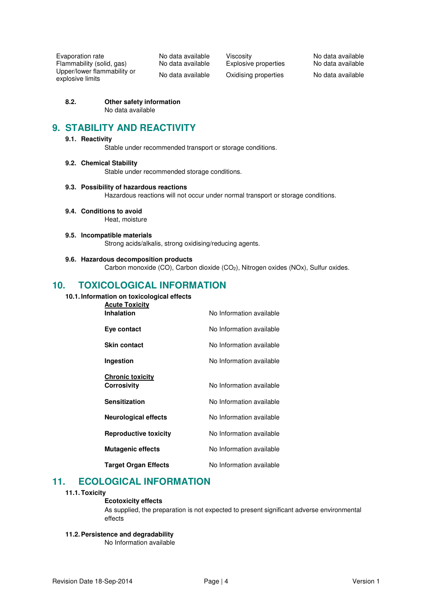Evaporation rate in a control No data available Viscosity in the No data available No data available No data available Flammability (solid, qas) No data available Explosive properties No data available Flammability (solid, gas) No data available Explosive properties Upper/lower flammability or

No data available Oxidising properties No data available

### **8.2. Other safety information**

No data available

## **9. STABILITY AND REACTIVITY**

### **9.1. Reactivity**

Stable under recommended transport or storage conditions.

**9.2. Chemical Stability** 

Stable under recommended storage conditions.

### **9.3. Possibility of hazardous reactions**

Hazardous reactions will not occur under normal transport or storage conditions.

- **9.4. Conditions to avoid**  Heat, moisture
- **9.5. Incompatible materials**  Strong acids/alkalis, strong oxidising/reducing agents.
- **9.6. Hazardous decomposition products**  Carbon monoxide (CO), Carbon dioxide (CO<sub>2</sub>), Nitrogen oxides (NOx), Sulfur oxides.

## **10. TOXICOLOGICAL INFORMATION**

### **10.1. Information on toxicological effects**

| <b>Acute Toxicity</b>        |                          |
|------------------------------|--------------------------|
| <b>Inhalation</b>            | No Information available |
| Eye contact                  | No Information available |
| <b>Skin contact</b>          | No Information available |
| Ingestion                    | No Information available |
|                              |                          |
| <b>Chronic toxicity</b>      |                          |
| Corrosivity                  | No Information available |
| <b>Sensitization</b>         | No Information available |
| <b>Neurological effects</b>  | No Information available |
| <b>Reproductive toxicity</b> | No Information available |
| <b>Mutagenic effects</b>     | No Information available |
| <b>Target Organ Effects</b>  | No Information available |

## **11. ECOLOGICAL INFORMATION**

#### **11.1. Toxicity**

#### **Ecotoxicity effects**

As supplied, the preparation is not expected to present significant adverse environmental effects

### **11.2. Persistence and degradability**

No Information available